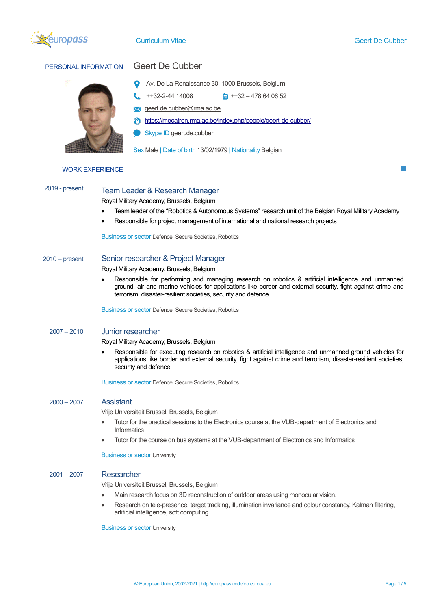

| PERSONAL INFORMATION   | <b>Geert De Cubber</b>                                                                                                                                                                                                                                                              |  |  |  |
|------------------------|-------------------------------------------------------------------------------------------------------------------------------------------------------------------------------------------------------------------------------------------------------------------------------------|--|--|--|
|                        | Av. De La Renaissance 30, 1000 Brussels, Belgium                                                                                                                                                                                                                                    |  |  |  |
|                        | ++32-2-44 14008<br>$\frac{1}{2}$ ++32 - 478 64 06 52                                                                                                                                                                                                                                |  |  |  |
|                        | geert.de.cubber@rma.ac.be                                                                                                                                                                                                                                                           |  |  |  |
|                        | https://mecatron.rma.ac.be/index.php/people/geert-de-cubber/                                                                                                                                                                                                                        |  |  |  |
|                        | Skype ID geert.de.cubber                                                                                                                                                                                                                                                            |  |  |  |
|                        |                                                                                                                                                                                                                                                                                     |  |  |  |
|                        | Sex Male   Date of birth 13/02/1979   Nationality Belgian                                                                                                                                                                                                                           |  |  |  |
| <b>WORK EXPERIENCE</b> |                                                                                                                                                                                                                                                                                     |  |  |  |
| 2019 - present         | <b>Team Leader &amp; Research Manager</b>                                                                                                                                                                                                                                           |  |  |  |
|                        | Royal Military Academy, Brussels, Belgium                                                                                                                                                                                                                                           |  |  |  |
|                        | Team leader of the "Robotics & Autonomous Systems" research unit of the Belgian Royal Military Academy                                                                                                                                                                              |  |  |  |
|                        | Responsible for project management of international and national research projects                                                                                                                                                                                                  |  |  |  |
|                        | Business or sector Defence, Secure Societies, Robotics                                                                                                                                                                                                                              |  |  |  |
| $2010 - present$       | Senior researcher & Project Manager                                                                                                                                                                                                                                                 |  |  |  |
|                        | Royal Military Academy, Brussels, Belgium                                                                                                                                                                                                                                           |  |  |  |
|                        | Responsible for performing and managing research on robotics & artificial intelligence and unmanned<br>ground, air and marine vehicles for applications like border and external security, fight against crime and<br>terrorism, disaster-resilient societies, security and defence |  |  |  |
|                        | Business or sector Defence, Secure Societies, Robotics                                                                                                                                                                                                                              |  |  |  |
| $2007 - 2010$          | <b>Junior researcher</b>                                                                                                                                                                                                                                                            |  |  |  |
|                        | Royal Military Academy, Brussels, Belgium                                                                                                                                                                                                                                           |  |  |  |
|                        | Responsible for executing research on robotics & artificial intelligence and unmanned ground vehicles for<br>applications like border and external security, fight against crime and terrorism, disaster-resilient societies,<br>security and defence                               |  |  |  |
|                        | <b>Business or sector Defence, Secure Societies, Robotics</b>                                                                                                                                                                                                                       |  |  |  |
| $2003 - 2007$          | <b>Assistant</b>                                                                                                                                                                                                                                                                    |  |  |  |
|                        | Vrije Universiteit Brussel, Brussels, Belgium                                                                                                                                                                                                                                       |  |  |  |
|                        | Tutor for the practical sessions to the Electronics course at the VUB-department of Electronics and<br>Informatics                                                                                                                                                                  |  |  |  |
|                        | Tutor for the course on bus systems at the VUB-department of Electronics and Informatics<br>$\bullet$                                                                                                                                                                               |  |  |  |
|                        | <b>Business or sector University</b>                                                                                                                                                                                                                                                |  |  |  |
| $2001 - 2007$          | <b>Researcher</b>                                                                                                                                                                                                                                                                   |  |  |  |
|                        | Vrije Universiteit Brussel, Brussels, Belgium                                                                                                                                                                                                                                       |  |  |  |
|                        | Main research focus on 3D reconstruction of outdoor areas using monocular vision.                                                                                                                                                                                                   |  |  |  |
|                        | Research on tele-presence, target tracking, illumination invariance and colour constancy, Kalman filtering,<br>$\bullet$<br>artificial intelligence, soft computing                                                                                                                 |  |  |  |
|                        | <b>Business or sector University</b>                                                                                                                                                                                                                                                |  |  |  |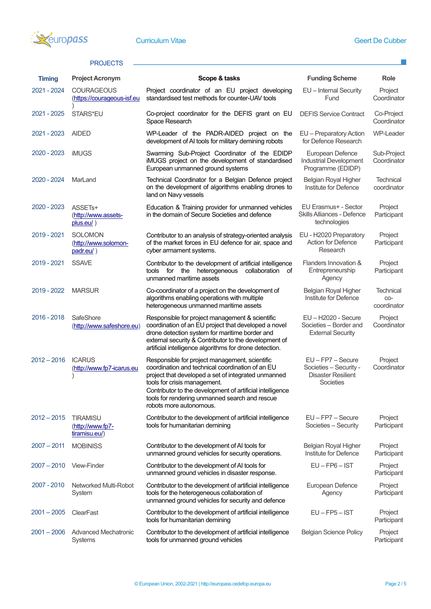

 $\mathbf{L}$ 

## PROJECTS -

| <b>Timing</b> | <b>Project Acronym</b>                                          | Scope & tasks                                                                                                                                                                                                                                                                                                                       | <b>Funding Scheme</b>                                                                 | <b>Role</b>                            |
|---------------|-----------------------------------------------------------------|-------------------------------------------------------------------------------------------------------------------------------------------------------------------------------------------------------------------------------------------------------------------------------------------------------------------------------------|---------------------------------------------------------------------------------------|----------------------------------------|
| 2021 - 2024   | <b>COURAGEOUS</b><br>(https://courageous-isf.eu                 | Project coordinator of an EU project developing<br>EU - Internal Security<br>standardised test methods for counter-UAV tools<br>Fund                                                                                                                                                                                                |                                                                                       | Project<br>Coordinator                 |
| 2021 - 2025   | STARS*EU                                                        | Co-project coordinator for the DEFIS grant on EU<br>Space Research                                                                                                                                                                                                                                                                  | <b>DEFIS Service Contract</b>                                                         | Co-Project<br>Coordinator              |
| 2021 - 2023   | <b>AIDED</b>                                                    | WP-Leader of the PADR-AIDED project on the<br>development of AI tools for military demining robots                                                                                                                                                                                                                                  | EU - Preparatory Action<br>for Defence Research                                       | WP-Leader                              |
| 2020 - 2023   | <b>iMUGS</b>                                                    | Swarming Sub-Project Coordinator of the EDIDP<br>iMUGS project on the development of standardised<br>European unmanned ground systems                                                                                                                                                                                               | European Defence<br><b>Industrial Development</b><br>Programme (EDIDP)                | Sub-Project<br>Coordinator             |
| 2020 - 2024   | MarLand                                                         | Technical Coordinator for a Belgian Defence project<br>on the development of algorithms enabling drones to<br>land on Navy vessels                                                                                                                                                                                                  | Belgian Royal Higher<br>Institute for Defence                                         | <b>Technical</b><br>coordinator        |
| 2020 - 2023   | ASSET <sub>s+</sub><br>(http://www.assets-<br><u>plus.eu/</u> ) | Education & Training provider for unmanned vehicles<br>in the domain of Secure Societies and defence                                                                                                                                                                                                                                | EU Erasmus+ - Sector<br>Skills Alliances - Defence<br>technologies                    | Project<br>Participant                 |
| 2019 - 2021   | <b>SOLOMON</b><br>(http://www.solomon-<br>padr.eu/)             | Contributor to an analysis of strategy-oriented analysis<br>of the market forces in EU defence for air, space and<br>cyber armament systems.                                                                                                                                                                                        | EU - H2020 Preparatory<br><b>Action for Defence</b><br>Research                       | Project<br>Participant                 |
| 2019 - 2021   | <b>SSAVE</b>                                                    | Flanders Innovation &<br>Contributor to the development of artificial intelligence<br>tools for the heterogeneous<br>collaboration<br>Entrepreneurship<br>of<br>unmanned maritime assets<br>Agency                                                                                                                                  |                                                                                       | Project<br>Participant                 |
| 2019 - 2022   | <b>MARSUR</b>                                                   | Co-coordinator of a project on the development of<br>algorithms enabling operations with multiple<br>heterogeneous unmanned maritime assets                                                                                                                                                                                         | Belgian Royal Higher<br>Institute for Defence                                         | <b>Technical</b><br>CO-<br>coordinator |
| 2016 - 2018   | SafeShore<br>(http://www.safeshore.eu)                          | Responsible for project management & scientific<br>coordination of an EU project that developed a novel<br>drone detection system for maritime border and<br>external security & Contributor to the development of<br>artificial intelligence algorithms for drone detection.                                                       | EU - H2020 - Secure<br>Societies - Border and<br><b>External Security</b>             | Project<br>Coordinator                 |
| $2012 - 2016$ | <b>ICARUS</b><br>(http://www.fp7-icarus.eu                      | Responsible for project management, scientific<br>coordination and technical coordination of an EU<br>project that developed a set of integrated unmanned<br>tools for crisis management.<br>Contributor to the development of artificial intelligence<br>tools for rendering unmanned search and rescue<br>robots more autonomous. | EU - FP7 - Secure<br>Societies - Security -<br><b>Disaster Resilient</b><br>Societies | Project<br>Coordinator                 |
| $2012 - 2015$ | <b>TIRAMISU</b><br>(http://www.fp7-<br>tiramisu.eu/)            | EU - FP7 - Secure<br>Contributor to the development of artificial intelligence<br>Societies - Security<br>tools for humanitarian demining                                                                                                                                                                                           |                                                                                       | Project<br>Participant                 |
| $2007 - 2011$ | <b>MOBINISS</b>                                                 | Contributor to the development of AI tools for<br>unmanned ground vehicles for security operations.                                                                                                                                                                                                                                 | Belgian Royal Higher<br>Institute for Defence                                         | Project<br>Participant                 |
| $2007 - 2010$ | <b>View-Finder</b>                                              | Contributor to the development of AI tools for<br>unmanned ground vehicles in disaster response.                                                                                                                                                                                                                                    | $EU - FP6 - IST$                                                                      | Project<br>Participant                 |
| 2007 - 2010   | Networked Multi-Robot<br>System                                 | Contributor to the development of artificial intelligence<br>tools for the heterogeneous collaboration of<br>unmanned ground vehicles for security and defence                                                                                                                                                                      | European Defence<br>Agency                                                            | Project<br>Participant                 |
| $2001 - 2005$ | ClearFast                                                       | Contributor to the development of artificial intelligence<br>tools for humanitarian demining                                                                                                                                                                                                                                        | $EU - FP5 - IST$                                                                      | Project<br>Participant                 |
| $2001 - 2006$ | Advanced Mechatronic<br><b>Systems</b>                          | Contributor to the development of artificial intelligence<br>tools for unmanned ground vehicles                                                                                                                                                                                                                                     | <b>Belgian Science Policy</b>                                                         | Project<br>Participant                 |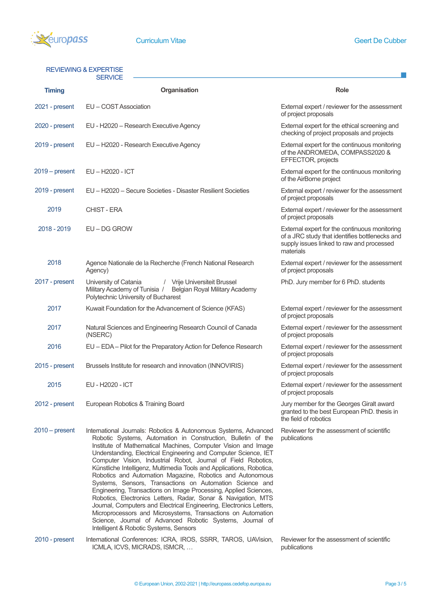

## REVIEWING & EXPERTISE

| <u>REVIEWING &amp; EAFERTIGE</u><br><b>SERVICE</b> |                                                                                                                                                                                                                                                                                                                                                                                                                                                                                                                                                                                                                                                                                                                                                                                                                                                                                                                         |                                                                                                                                                           |  |  |  |
|----------------------------------------------------|-------------------------------------------------------------------------------------------------------------------------------------------------------------------------------------------------------------------------------------------------------------------------------------------------------------------------------------------------------------------------------------------------------------------------------------------------------------------------------------------------------------------------------------------------------------------------------------------------------------------------------------------------------------------------------------------------------------------------------------------------------------------------------------------------------------------------------------------------------------------------------------------------------------------------|-----------------------------------------------------------------------------------------------------------------------------------------------------------|--|--|--|
| <b>Timing</b>                                      | Organisation                                                                                                                                                                                                                                                                                                                                                                                                                                                                                                                                                                                                                                                                                                                                                                                                                                                                                                            | <b>Role</b>                                                                                                                                               |  |  |  |
| 2021 - present                                     | EU - COST Association                                                                                                                                                                                                                                                                                                                                                                                                                                                                                                                                                                                                                                                                                                                                                                                                                                                                                                   | External expert / reviewer for the assessment<br>of project proposals                                                                                     |  |  |  |
| 2020 - present                                     | EU - H2020 - Research Executive Agency                                                                                                                                                                                                                                                                                                                                                                                                                                                                                                                                                                                                                                                                                                                                                                                                                                                                                  | External expert for the ethical screening and<br>checking of project proposals and projects                                                               |  |  |  |
| 2019 - present                                     | EU - H2020 - Research Executive Agency                                                                                                                                                                                                                                                                                                                                                                                                                                                                                                                                                                                                                                                                                                                                                                                                                                                                                  | External expert for the continuous monitoring<br>of the ANDROMEDA, COMPASS2020 &<br>EFFECTOR, projects                                                    |  |  |  |
| $2019 - present$                                   | EU-H2020 - ICT                                                                                                                                                                                                                                                                                                                                                                                                                                                                                                                                                                                                                                                                                                                                                                                                                                                                                                          | External expert for the continuous monitoring<br>of the AirBorne project                                                                                  |  |  |  |
| 2019 - present                                     | EU - H2020 - Secure Societies - Disaster Resilient Societies                                                                                                                                                                                                                                                                                                                                                                                                                                                                                                                                                                                                                                                                                                                                                                                                                                                            | External expert / reviewer for the assessment<br>of project proposals                                                                                     |  |  |  |
| 2019                                               | CHIST - ERA                                                                                                                                                                                                                                                                                                                                                                                                                                                                                                                                                                                                                                                                                                                                                                                                                                                                                                             | External expert / reviewer for the assessment<br>of project proposals                                                                                     |  |  |  |
| 2018 - 2019                                        | EU-DG GROW                                                                                                                                                                                                                                                                                                                                                                                                                                                                                                                                                                                                                                                                                                                                                                                                                                                                                                              | External expert for the continuous monitoring<br>of a JRC study that identifies bottlenecks and<br>supply issues linked to raw and processed<br>materials |  |  |  |
| 2018                                               | Agence Nationale de la Recherche (French National Research<br>Agency)                                                                                                                                                                                                                                                                                                                                                                                                                                                                                                                                                                                                                                                                                                                                                                                                                                                   | External expert / reviewer for the assessment<br>of project proposals                                                                                     |  |  |  |
| 2017 - present                                     | University of Catania<br>Vrije Universiteit Brussel<br>$\sqrt{2}$<br>Military Academy of Tunisia /<br>Belgian Royal Military Academy<br>Polytechnic University of Bucharest                                                                                                                                                                                                                                                                                                                                                                                                                                                                                                                                                                                                                                                                                                                                             | PhD. Jury member for 6 PhD. students                                                                                                                      |  |  |  |
| 2017                                               | Kuwait Foundation for the Advancement of Science (KFAS)                                                                                                                                                                                                                                                                                                                                                                                                                                                                                                                                                                                                                                                                                                                                                                                                                                                                 | External expert / reviewer for the assessment<br>of project proposals                                                                                     |  |  |  |
| 2017                                               | Natural Sciences and Engineering Research Council of Canada<br>(NSERC)                                                                                                                                                                                                                                                                                                                                                                                                                                                                                                                                                                                                                                                                                                                                                                                                                                                  | External expert / reviewer for the assessment<br>of project proposals                                                                                     |  |  |  |
| 2016                                               | EU - EDA - Pilot for the Preparatory Action for Defence Research                                                                                                                                                                                                                                                                                                                                                                                                                                                                                                                                                                                                                                                                                                                                                                                                                                                        | External expert / reviewer for the assessment<br>of project proposals                                                                                     |  |  |  |
| 2015 - present                                     | Brussels Institute for research and innovation (INNOVIRIS)                                                                                                                                                                                                                                                                                                                                                                                                                                                                                                                                                                                                                                                                                                                                                                                                                                                              | External expert / reviewer for the assessment<br>of project proposals                                                                                     |  |  |  |
| 2015                                               | EU - H2020 - ICT                                                                                                                                                                                                                                                                                                                                                                                                                                                                                                                                                                                                                                                                                                                                                                                                                                                                                                        | External expert / reviewer for the assessment<br>of project proposals                                                                                     |  |  |  |
| 2012 - present                                     | European Robotics & Training Board                                                                                                                                                                                                                                                                                                                                                                                                                                                                                                                                                                                                                                                                                                                                                                                                                                                                                      | Jury member for the Georges Giralt award<br>granted to the best European PhD. thesis in<br>the field of robotics                                          |  |  |  |
| $2010$ – present                                   | International Journals: Robotics & Autonomous Systems, Advanced<br>Robotic Systems, Automation in Construction, Bulletin of the<br>Institute of Mathematical Machines, Computer Vision and Image<br>Understanding, Electrical Engineering and Computer Science, IET<br>Computer Vision, Industrial Robot, Journal of Field Robotics,<br>Künstliche Intelligenz, Multimedia Tools and Applications, Robotica,<br>Robotics and Automation Magazine, Robotics and Autonomous<br>Systems, Sensors, Transactions on Automation Science and<br>Engineering, Transactions on Image Processing, Applied Sciences,<br>Robotics, Electronics Letters, Radar, Sonar & Navigation, MTS<br>Journal, Computers and Electrical Engineering, Electronics Letters,<br>Microprocessors and Microsystems, Transactions on Automation<br>Science, Journal of Advanced Robotic Systems, Journal of<br>Intelligent & Robotic Systems, Sensors | Reviewer for the assessment of scientific<br>publications                                                                                                 |  |  |  |

2010 - present International Conferences: ICRA, IROS, SSRR, TAROS, UAVision, Reviewer for the assessment of scientific ICMLA, ICVS, MICRADS, ISMCR, …

publications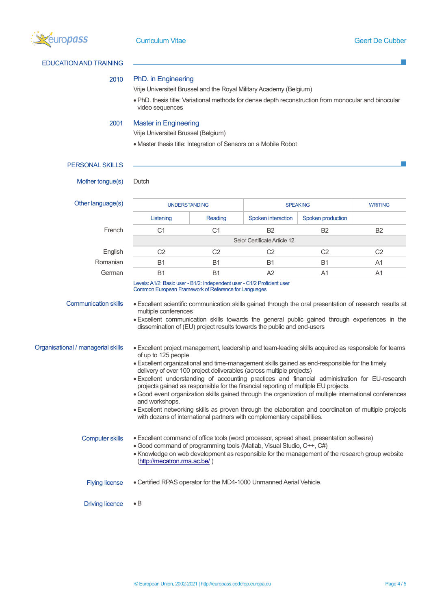

EDUCATION AND TRAINING

2010 PhD. in Engineering

PERSONAL SKILLS •PhD. thesis title: Variational methods for dense depth reconstruction from monocular and binocular video sequences 2001 Master in Engineering Vrije Universiteit Brussel (Belgium) • Master thesis title: Integration of Sensors on a Mobile Robot Mother tongue(s) Dutch Other language(s) THE INDERSTANDING SPEAKING SPEAKING WRITING Listening Reading Spoken interaction Spoken production French C1 C1 B2 B2 B2 Selor Certificate Article 12. English C2 C2 C2 C2 C2 Romanian B1 B1 B1 B1 B1 A1 German B1 B1 A2 A1 A1 Levels: A1/2: Basic user - B1/2: Independent user - C1/2 Proficient user Common European Framework of Reference for Languages Communication skills •Excellent scientific communication skills gained through the oral presentation of research results at multiple conferences •Excellent communication skills towards the general public gained through experiences in the dissemination of (EU) project results towards the public and end-users Organisational / managerial skills •Excellent project management, leadership and team-leading skills acquired as responsible for teams of up to 125 people •Excellent organizational and time-management skills gained as end-responsible for the timely delivery of over 100 project deliverables (across multiple projects) •Excellent understanding of accounting practices and financial administration for EU-research projects gained as responsible for the financial reporting of multiple EU projects. • Good event organization skills gained through the organization of multiple international conferences and workshops. •Excellent networking skills as proven through the elaboration and coordination of multiple projects with dozens of international partners with complementary capabilities. Computer skills •Excellent command of office tools (word processor, spread sheet, presentation software) • Good command of programming tools (Matlab, Visual Studio, C++, C#) •Knowledge on web development as responsible for the management of the research group website [\(http://mecatron.rma.ac.be/](http://mecatron.rma.ac.be/) ) Flying license • Certified RPAS operator for the MD4-1000 Unmanned Aerial Vehicle.

Vrije Universiteit Brussel and the Royal Military Academy (Belgium)

## Driving licence • B